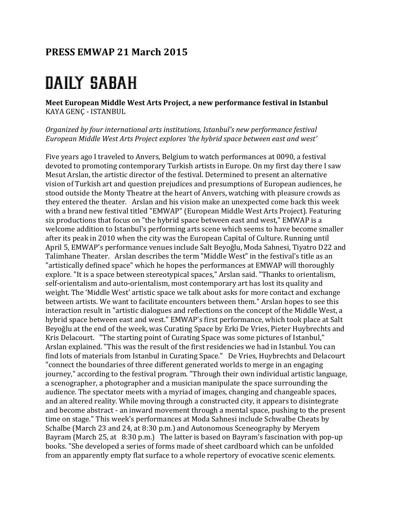## **PRESS EMWAP 21 March 2015**

## **DAILY SABAH**

**Meet European Middle West Arts Project, a new performance festival in Istanbul** KAYA GENÇ - ISTANBUL

*Organized by four international arts institutions, Istanbul's new performance festival* European Middle West Arts Project explores 'the hybrid space between east and west'

Five years ago I traveled to Anvers, Belgium to watch performances at 0090, a festival devoted to promoting contemporary Turkish artists in Europe. On my first day there I saw Mesut Arslan, the artistic director of the festival. Determined to present an alternative vision of Turkish art and question prejudices and presumptions of European audiences, he stood outside the Monty Theatre at the heart of Anvers, watching with pleasure crowds as they entered the theater. Arslan and his vision make an unexpected come back this week with a brand new festival titled "EMWAP" (European Middle West Arts Project). Featuring six productions that focus on "the hybrid space between east and west," EMWAP is a welcome addition to Istanbul's performing arts scene which seems to have become smaller after its peak in 2010 when the city was the European Capital of Culture. Running until April 5, EMWAP's performance venues include Salt Beyoğlu, Moda Sahnesi, Tiyatro D22 and Talimhane Theater. Arslan describes the term "Middle West" in the festival's title as an "artistically defined space" which he hopes the performances at EMWAP will thoroughly explore. "It is a space between stereotypical spaces," Arslan said. "Thanks to orientalism, self-orientalism and auto-orientalism, most contemporary art has lost its quality and weight. The 'Middle West' artistic space we talk about asks for more contact and exchange between artists. We want to facilitate encounters between them." Arslan hopes to see this interaction result in "artistic dialogues and reflections on the concept of the Middle West, a hybrid space between east and west." EMWAP's first performance, which took place at Salt Beyoğlu at the end of the week, was Curating Space by Erki De Vries, Pieter Huybrechts and Kris Delacourt. "The starting point of Curating Space was some pictures of Istanbul," Arslan explained. "This was the result of the first residencies we had in Istanbul. You can find lots of materials from Istanbul in Curating Space." De Vries, Huybrechts and Delacourt "connect the boundaries of three different generated worlds to merge in an engaging journey," according to the festival program. "Through their own individual artistic language, a scenographer, a photographer and a musician manipulate the space surrounding the audience. The spectator meets with a myriad of images, changing and changeable spaces, and an altered reality. While moving through a constructed city, it appears to disintegrate and become abstract - an inward movement through a mental space, pushing to the present time on stage." This week's performances at Moda Sahnesi include Schwalbe Cheats by Schalbe (March 23 and 24, at 8:30 p.m.) and Autonomous Sceneography by Meryem Bayram (March 25, at  $8:30$  p.m.) The latter is based on Bayram's fascination with pop-up books. "She developed a series of forms made of sheet cardboard which can be unfolded from an apparently empty flat surface to a whole repertory of evocative scenic elements.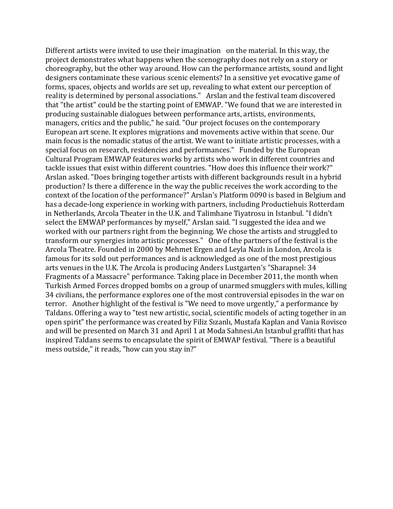Different artists were invited to use their imagination on the material. In this way, the project demonstrates what happens when the scenography does not rely on a story or choreography, but the other way around. How can the performance artists, sound and light designers contaminate these various scenic elements? In a sensitive yet evocative game of forms, spaces, objects and worlds are set up, revealing to what extent our perception of reality is determined by personal associations." Arslan and the festival team discovered that "the artist" could be the starting point of EMWAP. "We found that we are interested in producing sustainable dialogues between performance arts, artists, environments, managers, critics and the public," he said. "Our project focuses on the contemporary European art scene. It explores migrations and movements active within that scene. Our main focus is the nomadic status of the artist. We want to initiate artistic processes, with a special focus on research, residencies and performances." Funded by the European Cultural Program EMWAP features works by artists who work in different countries and tackle issues that exist within different countries. "How does this influence their work?" Arslan asked. "Does bringing together artists with different backgrounds result in a hybrid production? Is there a difference in the way the public receives the work according to the context of the location of the performance?" Arslan's Platform 0090 is based in Belgium and has a decade-long experience in working with partners, including Productiehuis Rotterdam in Netherlands, Arcola Theater in the U.K. and Talimhane Tiyatrosu in Istanbul. "I didn't select the EMWAP performances by myself," Arslan said. "I suggested the idea and we worked with our partners right from the beginning. We chose the artists and struggled to transform our synergies into artistic processes." One of the partners of the festival is the Arcola Theatre. Founded in 2000 by Mehmet Ergen and Leyla Nazlı in London, Arcola is famous for its sold out performances and is acknowledged as one of the most prestigious arts venues in the U.K. The Arcola is producing Anders Lustgarten's "Sharapnel: 34 Fragments of a Massacre" performance. Taking place in December 2011, the month when Turkish Armed Forces dropped bombs on a group of unarmed smugglers with mules, killing 34 civilians, the performance explores one of the most controversial episodes in the war on terror. Another highlight of the festival is "We need to move urgently," a performance by Taldans. Offering a way to "test new artistic, social, scientific models of acting together in an open spirit" the performance was created by Filiz Sizanli, Mustafa Kaplan and Vania Rovisco and will be presented on March 31 and April 1 at Moda Sahnesi.An Istanbul graffiti that has inspired Taldans seems to encapsulate the spirit of EMWAP festival. "There is a beautiful mess outside," it reads, "how can you stay in?"